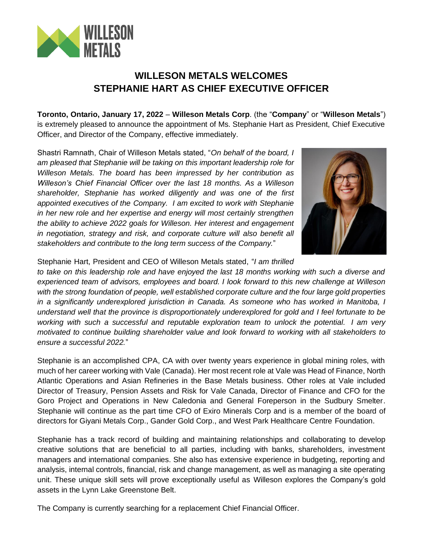

## **WILLESON METALS WELCOMES STEPHANIE HART AS CHIEF EXECUTIVE OFFICER**

**Toronto, Ontario, January 17, 2022** – **Willeson Metals Corp**. (the "**Company**" or "**Willeson Metals**") is extremely pleased to announce the appointment of Ms. Stephanie Hart as President, Chief Executive Officer, and Director of the Company, effective immediately.

Shastri Ramnath, Chair of Willeson Metals stated, "*On behalf of the board, I am pleased that Stephanie will be taking on this important leadership role for Willeson Metals. The board has been impressed by her contribution as Willeson's Chief Financial Officer over the last 18 months. As a Willeson shareholder, Stephanie has worked diligently and was one of the first appointed executives of the Company. I am excited to work with Stephanie in her new role and her expertise and energy will most certainly strengthen the ability to achieve 2022 goals for Willeson. Her interest and engagement in negotiation, strategy and risk, and corporate culture will also benefit all stakeholders and contribute to the long term success of the Company.*"



Stephanie Hart, President and CEO of Willeson Metals stated, "*I am thrilled* 

*to take on this leadership role and have enjoyed the last 18 months working with such a diverse and experienced team of advisors, employees and board. I look forward to this new challenge at Willeson with the strong foundation of people, well established corporate culture and the four large gold properties in a significantly underexplored jurisdiction in Canada. As someone who has worked in Manitoba, I understand well that the province is disproportionately underexplored for gold and I feel fortunate to be working with such a successful and reputable exploration team to unlock the potential. I am very motivated to continue building shareholder value and look forward to working with all stakeholders to ensure a successful 2022.*"

Stephanie is an accomplished CPA, CA with over twenty years experience in global mining roles, with much of her career working with Vale (Canada). Her most recent role at Vale was Head of Finance, North Atlantic Operations and Asian Refineries in the Base Metals business. Other roles at Vale included Director of Treasury, Pension Assets and Risk for Vale Canada, Director of Finance and CFO for the Goro Project and Operations in New Caledonia and General Foreperson in the Sudbury Smelter. Stephanie will continue as the part time CFO of Exiro Minerals Corp and is a member of the board of directors for Giyani Metals Corp., Gander Gold Corp., and West Park Healthcare Centre Foundation.

Stephanie has a track record of building and maintaining relationships and collaborating to develop creative solutions that are beneficial to all parties, including with banks, shareholders, investment managers and international companies. She also has extensive experience in budgeting, reporting and analysis, internal controls, financial, risk and change management, as well as managing a site operating unit. These unique skill sets will prove exceptionally useful as Willeson explores the Company's gold assets in the Lynn Lake Greenstone Belt.

The Company is currently searching for a replacement Chief Financial Officer.